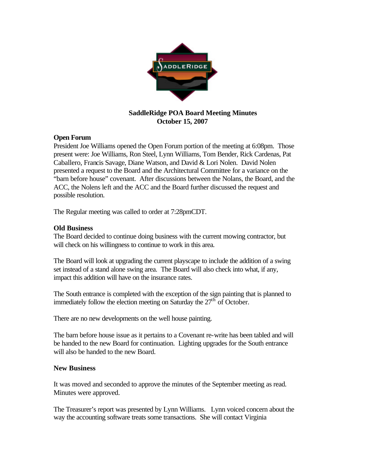

## **SaddleRidge POA Board Meeting Minutes October 15, 2007**

## **Open Forum**

President Joe Williams opened the Open Forum portion of the meeting at 6:08pm. Those present were: Joe Williams, Ron Steel, Lynn Williams, Tom Bender, Rick Cardenas, Pat Caballero, Francis Savage, Diane Watson, and David & Lori Nolen. David Nolen presented a request to the Board and the Architectural Committee for a variance on the "barn before house" covenant. After discussions between the Nolans, the Board, and the ACC, the Nolens left and the ACC and the Board further discussed the request and possible resolution.

The Regular meeting was called to order at 7:28pmCDT.

## **Old Business**

The Board decided to continue doing business with the current mowing contractor, but will check on his willingness to continue to work in this area.

The Board will look at upgrading the current playscape to include the addition of a swing set instead of a stand alone swing area. The Board will also check into what, if any, impact this addition will have on the insurance rates.

The South entrance is completed with the exception of the sign painting that is planned to immediately follow the election meeting on Saturday the  $27<sup>th</sup>$  of October.

There are no new developments on the well house painting.

The barn before house issue as it pertains to a Covenant re-write has been tabled and will be handed to the new Board for continuation. Lighting upgrades for the South entrance will also be handed to the new Board.

## **New Business**

It was moved and seconded to approve the minutes of the September meeting as read. Minutes were approved.

The Treasurer's report was presented by Lynn Williams. Lynn voiced concern about the way the accounting software treats some transactions. She will contact Virginia